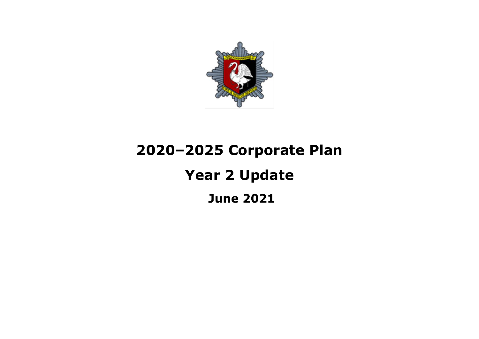

# **2020–2025 Corporate Plan Year 2 UpdateJune 2021**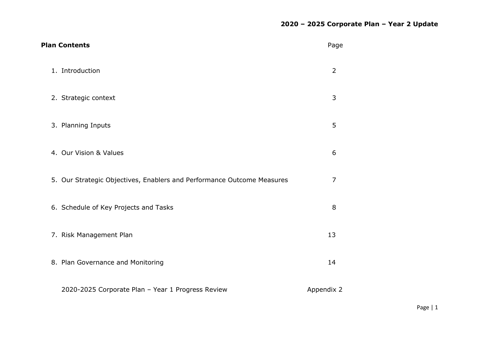| <b>Plan Contents</b>                                                   | Page           |
|------------------------------------------------------------------------|----------------|
| 1. Introduction                                                        | $\overline{2}$ |
| 2. Strategic context                                                   | 3              |
| 3. Planning Inputs                                                     | 5              |
| 4. Our Vision & Values                                                 | 6              |
| 5. Our Strategic Objectives, Enablers and Performance Outcome Measures | $\overline{7}$ |
| 6. Schedule of Key Projects and Tasks                                  | 8              |
| 7. Risk Management Plan                                                | 13             |
| 8. Plan Governance and Monitoring                                      | 14             |
| 2020-2025 Corporate Plan - Year 1 Progress Review                      | Appendix 2     |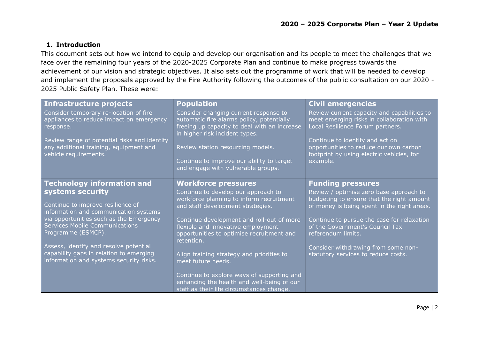## **1. Introduction**

This document sets out how we intend to equip and develop our organisation and its people to meet the challenges that we face over the remaining four years of the 2020-2025 Corporate Plan and continue to make progress towards the achievement of our vision and strategic objectives. It also sets out the programme of work that will be needed to develop and implement the proposals approved by the Fire Authority following the outcomes of the public consultation on our 2020 - 2025 Public Safety Plan. These were:

| <b>Infrastructure projects</b>                                                                                  | <b>Population</b>                                                                                                                                                    | <b>Civil emergencies</b>                                                                                                           |
|-----------------------------------------------------------------------------------------------------------------|----------------------------------------------------------------------------------------------------------------------------------------------------------------------|------------------------------------------------------------------------------------------------------------------------------------|
| Consider temporary re-location of fire<br>appliances to reduce impact on emergency<br>response.                 | Consider changing current response to<br>automatic fire alarms policy, potentially<br>freeing up capacity to deal with an increase<br>in higher risk incident types. | Review current capacity and capabilities to<br>meet emerging risks in collaboration with<br>Local Resilience Forum partners.       |
| Review range of potential risks and identify<br>any additional training, equipment and<br>vehicle requirements. | Review station resourcing models.<br>Continue to improve our ability to target<br>and engage with vulnerable groups.                                                 | Continue to identify and act on<br>opportunities to reduce our own carbon<br>footprint by using electric vehicles, for<br>example. |
|                                                                                                                 |                                                                                                                                                                      |                                                                                                                                    |
| <b>Technology information and</b>                                                                               | <b>Workforce pressures</b>                                                                                                                                           | <b>Funding pressures</b>                                                                                                           |
| systems security                                                                                                | Continue to develop our approach to                                                                                                                                  | Review / optimise zero base approach to                                                                                            |
| Continue to improve resilience of                                                                               | workforce planning to inform recruitment<br>and staff development strategies.                                                                                        | budgeting to ensure that the right amount<br>of money is being spent in the right areas.                                           |
| information and communication systems                                                                           |                                                                                                                                                                      |                                                                                                                                    |
| via opportunities such as the Emergency<br><b>Services Mobile Communications</b><br>Programme (ESMCP).          | Continue development and roll-out of more<br>flexible and innovative employment<br>opportunities to optimise recruitment and<br>retention.                           | Continue to pursue the case for relaxation<br>of the Government's Council Tax<br>referendum limits.                                |
| Assess, identify and resolve potential                                                                          |                                                                                                                                                                      | Consider withdrawing from some non-                                                                                                |
| capability gaps in relation to emerging<br>information and systems security risks.                              | Align training strategy and priorities to<br>meet future needs.                                                                                                      | statutory services to reduce costs.                                                                                                |
|                                                                                                                 | Continue to explore ways of supporting and                                                                                                                           |                                                                                                                                    |
|                                                                                                                 | enhancing the health and well-being of our                                                                                                                           |                                                                                                                                    |
|                                                                                                                 | staff as their life circumstances change.                                                                                                                            |                                                                                                                                    |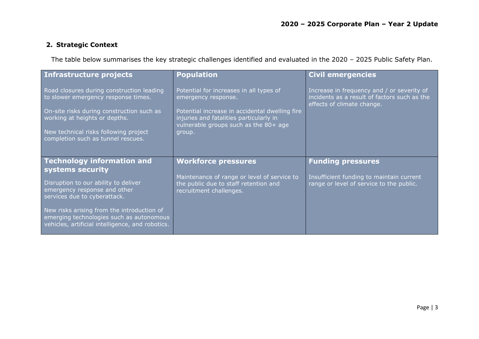## **2. Strategic Context**

The table below summarises the key strategic challenges identified and evaluated in the 2020 – 2025 Public Safety Plan.

| Infrastructure projects                                                                                                                                                                                                                       | <b>Population</b>                                                                                                                                                                                              | <b>Civil emergencies</b>                                                                                                 |
|-----------------------------------------------------------------------------------------------------------------------------------------------------------------------------------------------------------------------------------------------|----------------------------------------------------------------------------------------------------------------------------------------------------------------------------------------------------------------|--------------------------------------------------------------------------------------------------------------------------|
| Road closures during construction leading<br>to slower emergency response times.<br>On-site risks during construction such as<br>working at heights or depths.<br>New technical risks following project<br>completion such as tunnel rescues. | Potential for increases in all types of<br>emergency response.<br>Potential increase in accidental dwelling fire<br>injuries and fatalities particularly in<br>vulnerable groups such as the 80+ age<br>group. | Increase in frequency and / or severity of<br>incidents as a result of factors such as the<br>effects of climate change. |
| <b>Technology information and</b><br>systems security                                                                                                                                                                                         | <b>Workforce pressures</b>                                                                                                                                                                                     | <b>Funding pressures</b>                                                                                                 |
| Disruption to our ability to deliver<br>emergency response and other<br>services due to cyberattack.                                                                                                                                          | Maintenance of range or level of service to<br>the public due to staff retention and<br>recruitment challenges.                                                                                                | Insufficient funding to maintain current<br>range or level of service to the public.                                     |
| New risks arising from the introduction of<br>emerging technologies such as autonomous<br>vehicles, artificial intelligence, and robotics.                                                                                                    |                                                                                                                                                                                                                |                                                                                                                          |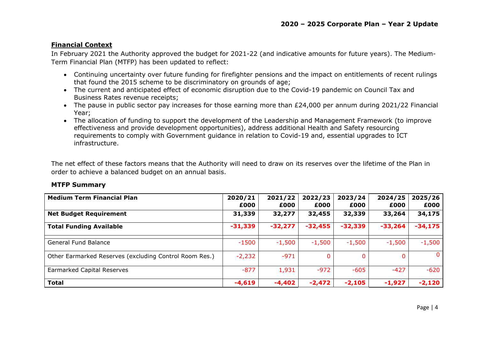#### **Financial Context**

In February 2021 the Authority approved the budget for 2021-22 (and indicative amounts for future years). The Medium-Term Financial Plan (MTFP) has been updated to reflect:

- Continuing uncertainty over future funding for firefighter pensions and the impact on entitlements of recent rulings that found the 2015 scheme to be discriminatory on grounds of age;
- The current and anticipated effect of economic disruption due to the Covid-19 pandemic on Council Tax and Business Rates revenue receipts;
- The pause in public sector pay increases for those earning more than £24,000 per annum during 2021/22 Financial Year;
- The allocation of funding to support the development of the Leadership and Management Framework (to improve effectiveness and provide development opportunities), address additional Health and Safety resourcing requirements to comply with Government guidance in relation to Covid-19 and, essential upgrades to ICT infrastructure.

The net effect of these factors means that the Authority will need to draw on its reserves over the lifetime of the Plan in order to achieve a balanced budget on an annual basis.

#### **MTFP Summary**

| <b>Medium Term Financial Plan</b>                      | 2020/21   | 2021/22   | 2022/23   | 2023/24   | 2024/25   | 2025/26   |
|--------------------------------------------------------|-----------|-----------|-----------|-----------|-----------|-----------|
|                                                        | £000      | £000      | £000      | £000      | £000      | £000      |
| <b>Net Budget Requirement</b>                          | 31,339    | 32,277    | 32,455    | 32,339    | 33,264    | 34,175    |
| <b>Total Funding Available</b>                         | $-31,339$ | $-32,277$ | $-32,455$ | $-32,339$ | $-33,264$ | $-34,175$ |
| <b>General Fund Balance</b>                            | $-1500$   | $-1,500$  | $-1,500$  | $-1,500$  | $-1,500$  | $-1,500$  |
| Other Earmarked Reserves (excluding Control Room Res.) | $-2,232$  | $-971$    |           |           |           | 0         |
| Earmarked Capital Reserves                             | $-877$    | 1,931     | $-972$    | $-605$    | $-427$    | $-620$    |
| <b>Total</b>                                           | $-4,619$  | $-4,402$  | $-2,472$  | $-2,105$  | $-1,927$  | $-2,120$  |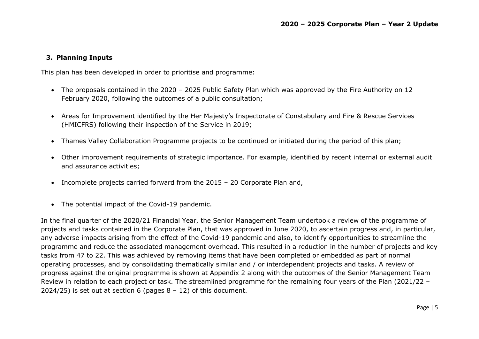#### **3. Planning Inputs**

This plan has been developed in order to prioritise and programme:

- The proposals contained in the 2020 2025 Public Safety Plan which was approved by the Fire Authority on 12 February 2020, following the outcomes of a public consultation;
- Areas for Improvement identified by the Her Majesty's Inspectorate of Constabulary and Fire & Rescue Services (HMICFRS) following their inspection of the Service in 2019;
- Thames Valley Collaboration Programme projects to be continued or initiated during the period of this plan;
- Other improvement requirements of strategic importance. For example, identified by recent internal or external audit and assurance activities;
- Incomplete projects carried forward from the 2015 20 Corporate Plan and,
- The potential impact of the Covid-19 pandemic.

In the final quarter of the 2020/21 Financial Year, the Senior Management Team undertook a review of the programme of projects and tasks contained in the Corporate Plan, that was approved in June 2020, to ascertain progress and, in particular, any adverse impacts arising from the effect of the Covid-19 pandemic and also, to identify opportunities to streamline the programme and reduce the associated management overhead. This resulted in a reduction in the number of projects and key tasks from 47 to 22. This was achieved by removing items that have been completed or embedded as part of normal operating processes, and by consolidating thematically similar and / or interdependent projects and tasks. A review of progress against the original programme is shown at Appendix 2 along with the outcomes of the Senior Management Team Review in relation to each project or task. The streamlined programme for the remaining four years of the Plan (2021/22 – 2024/25) is set out at section 6 (pages  $8 - 12$ ) of this document.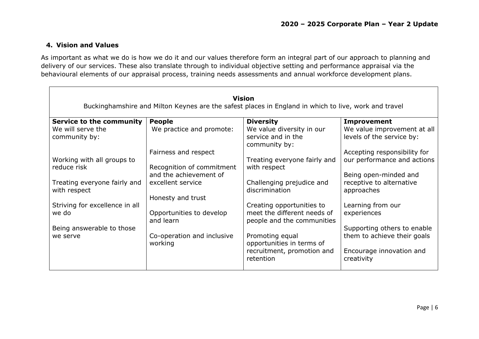## **4. Vision and Values**

As important as what we do is how we do it and our values therefore form an integral part of our approach to planning and delivery of our services. These also translate through to individual objective setting and performance appraisal via the behavioural elements of our appraisal process, training needs assessments and annual workforce development plans.

|                                              |                                             | <b>Vision</b><br>Buckinghamshire and Milton Keynes are the safest places in England in which to live, work and travel |                                                             |
|----------------------------------------------|---------------------------------------------|-----------------------------------------------------------------------------------------------------------------------|-------------------------------------------------------------|
| <b>Service to the community</b>              | <b>People</b>                               | <b>Diversity</b>                                                                                                      | <b>Improvement</b>                                          |
| We will serve the<br>community by:           | We practice and promote:                    | We value diversity in our<br>service and in the<br>community by:                                                      | We value improvement at all<br>levels of the service by:    |
| Working with all groups to                   | Fairness and respect                        | Treating everyone fairly and                                                                                          | Accepting responsibility for<br>our performance and actions |
| reduce risk                                  | Recognition of commitment                   | with respect                                                                                                          |                                                             |
|                                              | and the achievement of<br>excellent service |                                                                                                                       | Being open-minded and                                       |
| Treating everyone fairly and<br>with respect | Honesty and trust                           | Challenging prejudice and<br>discrimination                                                                           | receptive to alternative<br>approaches                      |
| Striving for excellence in all               |                                             | Creating opportunities to                                                                                             | Learning from our                                           |
| we do                                        | Opportunities to develop<br>and learn       | meet the different needs of<br>people and the communities                                                             | experiences                                                 |
| Being answerable to those                    |                                             |                                                                                                                       | Supporting others to enable                                 |
| we serve                                     | Co-operation and inclusive<br>working       | Promoting equal<br>opportunities in terms of                                                                          | them to achieve their goals                                 |
|                                              |                                             | recruitment, promotion and<br>retention                                                                               | Encourage innovation and<br>creativity                      |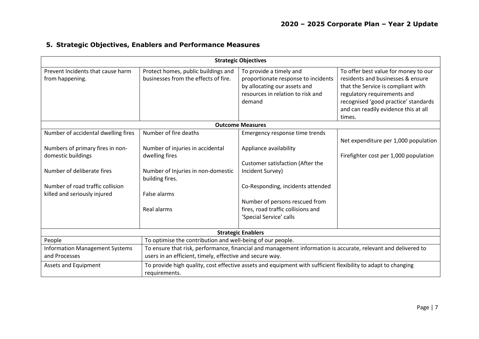|  |  |  | 5. Strategic Objectives, Enablers and Performance Measures |
|--|--|--|------------------------------------------------------------|
|--|--|--|------------------------------------------------------------|

| <b>Strategic Objectives</b>                                                                                                                                                                                                                                                                                                                                                                                                                                           |                                                                                                                             |                                                                                                                                               |                                                                                                                                                                                                                                          |  |  |  |  |
|-----------------------------------------------------------------------------------------------------------------------------------------------------------------------------------------------------------------------------------------------------------------------------------------------------------------------------------------------------------------------------------------------------------------------------------------------------------------------|-----------------------------------------------------------------------------------------------------------------------------|-----------------------------------------------------------------------------------------------------------------------------------------------|------------------------------------------------------------------------------------------------------------------------------------------------------------------------------------------------------------------------------------------|--|--|--|--|
| Prevent Incidents that cause harm<br>from happening.                                                                                                                                                                                                                                                                                                                                                                                                                  | Protect homes, public buildings and<br>businesses from the effects of fire.                                                 | To provide a timely and<br>proportionate response to incidents<br>by allocating our assets and<br>resources in relation to risk and<br>demand | To offer best value for money to our<br>residents and businesses & ensure<br>that the Service is compliant with<br>regulatory requirements and<br>recognised 'good practice' standards<br>and can readily evidence this at all<br>times. |  |  |  |  |
|                                                                                                                                                                                                                                                                                                                                                                                                                                                                       |                                                                                                                             | <b>Outcome Measures</b>                                                                                                                       |                                                                                                                                                                                                                                          |  |  |  |  |
| Number of accidental dwelling fires                                                                                                                                                                                                                                                                                                                                                                                                                                   | Number of fire deaths                                                                                                       | Emergency response time trends                                                                                                                | Net expenditure per 1,000 population                                                                                                                                                                                                     |  |  |  |  |
| Numbers of primary fires in non-<br>domestic buildings<br>Number of deliberate fires<br>Number of road traffic collision<br>killed and seriously injured                                                                                                                                                                                                                                                                                                              | Number of injuries in accidental<br>dwelling fires<br>Number of Injuries in non-domestic<br>building fires.<br>False alarms | Appliance availability<br>Customer satisfaction (After the<br>Incident Survey)<br>Co-Responding, incidents attended                           | Firefighter cost per 1,000 population                                                                                                                                                                                                    |  |  |  |  |
|                                                                                                                                                                                                                                                                                                                                                                                                                                                                       | Real alarms                                                                                                                 | Number of persons rescued from<br>fires, road traffic collisions and<br>'Special Service' calls                                               |                                                                                                                                                                                                                                          |  |  |  |  |
|                                                                                                                                                                                                                                                                                                                                                                                                                                                                       |                                                                                                                             | <b>Strategic Enablers</b>                                                                                                                     |                                                                                                                                                                                                                                          |  |  |  |  |
| People<br>To optimise the contribution and well-being of our people.<br>To ensure that risk, performance, financial and management information is accurate, relevant and delivered to<br><b>Information Management Systems</b><br>users in an efficient, timely, effective and secure way.<br>and Processes<br>To provide high quality, cost effective assets and equipment with sufficient flexibility to adapt to changing<br>Assets and Equipment<br>requirements. |                                                                                                                             |                                                                                                                                               |                                                                                                                                                                                                                                          |  |  |  |  |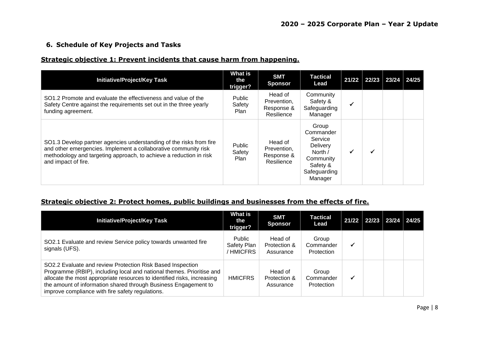### **6. Schedule of Key Projects and Tasks**

#### **Strategic objective 1: Prevent incidents that cause harm from happening.**

| <b>Initiative/Project/Key Task</b>                                                                                                                                                                                                  | What is<br>the<br>trigger?      | <b>SMT</b><br><b>Sponsor</b>                       | <b>Tactical</b><br>Lead                                                                                         | $21/22$ 22/23 | 23/24 24/25 |  |
|-------------------------------------------------------------------------------------------------------------------------------------------------------------------------------------------------------------------------------------|---------------------------------|----------------------------------------------------|-----------------------------------------------------------------------------------------------------------------|---------------|-------------|--|
| SO1.2 Promote and evaluate the effectiveness and value of the<br>Safety Centre against the requirements set out in the three yearly<br>funding agreement.                                                                           | Public<br>Safety<br><b>Plan</b> | Head of<br>Prevention,<br>Response &<br>Resilience | Community<br>Safety &<br>Safeguarding<br>Manager                                                                | √             |             |  |
| SO1.3 Develop partner agencies understanding of the risks from fire<br>and other emergencies. Implement a collaborative community risk<br>methodology and targeting approach, to achieve a reduction in risk<br>and impact of fire. | Public<br>Safety<br>Plan        | Head of<br>Prevention,<br>Response &<br>Resilience | Group<br>Commander<br>Service<br><b>Delivery</b><br>North /<br>Community<br>Safety &<br>Safeguarding<br>Manager | ✔             |             |  |

## **Strategic objective 2: Protect homes, public buildings and businesses from the effects of fire.**

| <b>Initiative/Project/Key Task</b>                                                                                                                                                                                                                                                                                                    | <b>What is</b><br>the<br>trigger?  | <b>SMT</b><br><b>Sponsor</b>         | Tactical<br>Lead                 | $21/22$   22/23   23/24   24/25 |  |
|---------------------------------------------------------------------------------------------------------------------------------------------------------------------------------------------------------------------------------------------------------------------------------------------------------------------------------------|------------------------------------|--------------------------------------|----------------------------------|---------------------------------|--|
| SO2.1 Evaluate and review Service policy towards unwanted fire<br>signals (UFS).                                                                                                                                                                                                                                                      | Public<br>Safety Plan<br>/ HMICFRS | Head of<br>Protection &<br>Assurance | Group<br>Commander<br>Protection |                                 |  |
| SO2.2 Evaluate and review Protection Risk Based Inspection<br>Programme (RBIP), including local and national themes. Prioritise and<br>allocate the most appropriate resources to identified risks, increasing<br>the amount of information shared through Business Engagement to<br>improve compliance with fire safety regulations. | <b>HMICFRS</b>                     | Head of<br>Protection &<br>Assurance | Group<br>Commander<br>Protection |                                 |  |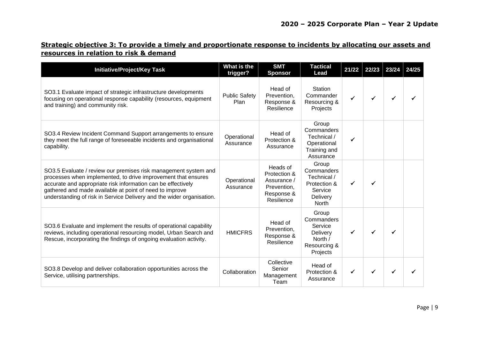## **Strategic objective 3: To provide a timely and proportionate response to incidents by allocating our assets and resources in relation to risk & demand**

| <b>Initiative/Project/Key Task</b>                                                                                                                                                                                                                                                                                                   | What is the<br>trigger?      | <b>SMT</b><br><b>Sponsor</b>                                                       | <b>Tactical</b><br>Lead                                                            | 21/22 | 22/23 | 23/24 | 24/25 |
|--------------------------------------------------------------------------------------------------------------------------------------------------------------------------------------------------------------------------------------------------------------------------------------------------------------------------------------|------------------------------|------------------------------------------------------------------------------------|------------------------------------------------------------------------------------|-------|-------|-------|-------|
| SO3.1 Evaluate impact of strategic infrastructure developments<br>focusing on operational response capability (resources, equipment<br>and training) and community risk.                                                                                                                                                             | <b>Public Safety</b><br>Plan | Head of<br>Prevention,<br>Response &<br>Resilience                                 | Station<br>Commander<br>Resourcing &<br>Projects                                   |       |       |       |       |
| SO3.4 Review Incident Command Support arrangements to ensure<br>they meet the full range of foreseeable incidents and organisational<br>capability.                                                                                                                                                                                  | Operational<br>Assurance     | Head of<br>Protection &<br>Assurance                                               | Group<br>Commanders<br>Technical /<br>Operational<br>Training and<br>Assurance     |       |       |       |       |
| SO3.5 Evaluate / review our premises risk management system and<br>processes when implemented, to drive improvement that ensures<br>accurate and appropriate risk information can be effectively<br>gathered and made available at point of need to improve<br>understanding of risk in Service Delivery and the wider organisation. | Operational<br>Assurance     | Heads of<br>Protection &<br>Assurance /<br>Prevention,<br>Response &<br>Resilience | Group<br>Commanders<br>Technical /<br>Protection &<br>Service<br>Delivery<br>North |       |       |       |       |
| SO3.6 Evaluate and implement the results of operational capability<br>reviews, including operational resourcing model, Urban Search and<br>Rescue, incorporating the findings of ongoing evaluation activity.                                                                                                                        | <b>HMICFRS</b>               | Head of<br>Prevention,<br>Response &<br>Resilience                                 | Group<br>Commanders<br>Service<br>Delivery<br>North /<br>Resourcing &<br>Projects  |       |       |       |       |
| SO3.8 Develop and deliver collaboration opportunities across the<br>Service, utilising partnerships.                                                                                                                                                                                                                                 | Collaboration                | Collective<br>Senior<br>Management<br>Team                                         | Head of<br>Protection &<br>Assurance                                               |       |       |       |       |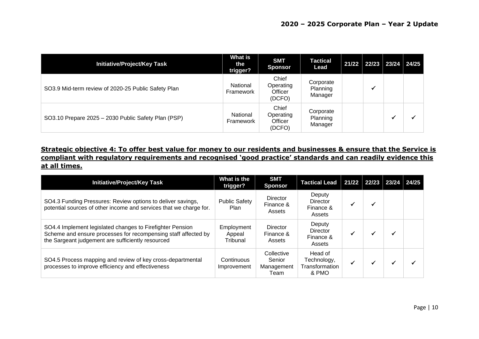| <b>Initiative/Project/Key Task</b>                  | What is<br>the<br>trigger? | <b>SMT</b><br><b>Sponsor</b>            | <b>Tactical</b><br>Lead          | 21/22 | 22/23 23/24 24/25 |  |
|-----------------------------------------------------|----------------------------|-----------------------------------------|----------------------------------|-------|-------------------|--|
| SO3.9 Mid-term review of 2020-25 Public Safety Plan | National<br>Framework      | Chief<br>Operating<br>Officer<br>(DCFO) | Corporate<br>Planning<br>Manager |       |                   |  |
| SO3.10 Prepare 2025 - 2030 Public Safety Plan (PSP) | National<br>Framework      | Chief<br>Operating<br>Officer<br>(DCFO) | Corporate<br>Planning<br>Manager |       |                   |  |

**Strategic objective 4: To offer best value for money to our residents and businesses & ensure that the Service is compliant with regulatory requirements and recognised 'good practice' standards and can readily evidence this at all times.**

| <b>Initiative/Project/Key Task</b>                                                                                                                                               | What is the<br>trigger?          | <b>SMT</b><br><b>Sponsor</b>               | <b>Tactical Lead</b>                              | 21/22 22/23 |   | $23/24$   24/25 |
|----------------------------------------------------------------------------------------------------------------------------------------------------------------------------------|----------------------------------|--------------------------------------------|---------------------------------------------------|-------------|---|-----------------|
| SO4.3 Funding Pressures: Review options to deliver savings,<br>potential sources of other income and services that we charge for.                                                | <b>Public Safety</b><br>Plan     | Director<br>Finance &<br>Assets            | Deputy<br>Director<br>Finance &<br>Assets         |             | ✔ |                 |
| SO4.4 Implement legislated changes to Firefighter Pension<br>Scheme and ensure processes for recompensing staff affected by<br>the Sargeant judgement are sufficiently resourced | Employment<br>Appeal<br>Tribunal | Director<br>Finance &<br>Assets            | Deputy<br><b>Director</b><br>Finance &<br>Assets  |             |   |                 |
| SO4.5 Process mapping and review of key cross-departmental<br>processes to improve efficiency and effectiveness                                                                  | Continuous<br>Improvement        | Collective<br>Senior<br>Management<br>Team | Head of<br>Technology,<br>Transformation<br>& PMO |             |   |                 |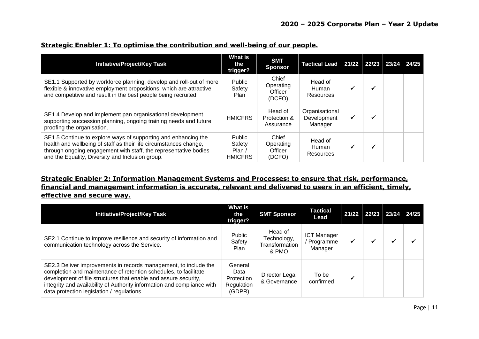| <b>Initiative/Project/Key Task</b>                                                                                                                                                                                                                          | <b>What is</b><br>the<br>trigger?           | <b>SMT</b><br><b>Sponsor</b>            | Tactical Lead   21/22   22/23   23/24   24/25 |  |  |
|-------------------------------------------------------------------------------------------------------------------------------------------------------------------------------------------------------------------------------------------------------------|---------------------------------------------|-----------------------------------------|-----------------------------------------------|--|--|
| SE1.1 Supported by workforce planning, develop and roll-out of more<br>flexible & innovative employment propositions, which are attractive<br>and competitive and result in the best people being recruited                                                 | <b>Public</b><br>Safety<br><b>Plan</b>      | Chief<br>Operating<br>Officer<br>(DCFO) | Head of<br>Human<br>Resources                 |  |  |
| SE1.4 Develop and implement pan organisational development<br>supporting succession planning, ongoing training needs and future<br>proofing the organisation.                                                                                               | <b>HMICFRS</b>                              | Head of<br>Protection &<br>Assurance    | Organisational<br>Development<br>Manager      |  |  |
| SE1.5 Continue to explore ways of supporting and enhancing the<br>health and wellbeing of staff as their life circumstances change,<br>through ongoing engagement with staff, the representative bodies<br>and the Equality, Diversity and Inclusion group. | Public<br>Safety<br>Plan/<br><b>HMICFRS</b> | Chief<br>Operating<br>Officer<br>(DCFO) | Head of<br>Human<br>Resources                 |  |  |

#### **Strategic Enabler 1: To optimise the contribution and well-being of our people.**

## **Strategic Enabler 2: Information Management Systems and Processes: to ensure that risk, performance, financial and management information is accurate, relevant and delivered to users in an efficient, timely, effective and secure way.**

| <b>Initiative/Project/Key Task</b>                                                                                                                                                                                                                                                                                               | What is<br>the<br>trigger?                            | <b>SMT Sponsor</b>                                | Tactical<br>Lead                           | 21/22 | 22/23 | 23/24 24/25 |  |
|----------------------------------------------------------------------------------------------------------------------------------------------------------------------------------------------------------------------------------------------------------------------------------------------------------------------------------|-------------------------------------------------------|---------------------------------------------------|--------------------------------------------|-------|-------|-------------|--|
| SE2.1 Continue to improve resilience and security of information and<br>communication technology across the Service.                                                                                                                                                                                                             | Public<br>Safety<br>Plan                              | Head of<br>Technology,<br>Transformation<br>& PMO | <b>ICT Manager</b><br>Programme<br>Manager | ✔     |       | ✔           |  |
| SE2.3 Deliver improvements in records management, to include the<br>completion and maintenance of retention schedules, to facilitate<br>development of file structures that enable and assure security,<br>integrity and availability of Authority information and compliance with<br>data protection legislation / regulations. | General<br>Data<br>Protection<br>Regulation<br>(GDPR) | Director Legal<br>& Governance                    | To be<br>confirmed                         | ✔     |       |             |  |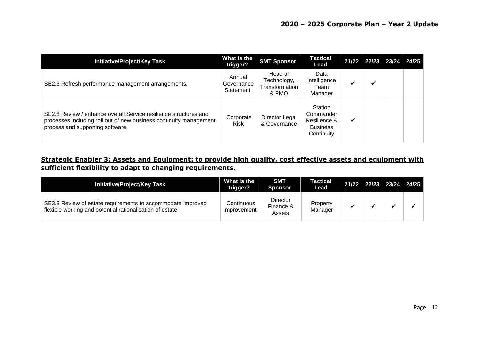| <b>Initiative/Project/Key Task</b>                                                                                                                                         | What is the<br>trigger?           | <b>SMT Sponsor</b>                                | <b>Tactical</b><br>Lead                                               | $21/22$ 22/23 | 23/24 24/25 |  |
|----------------------------------------------------------------------------------------------------------------------------------------------------------------------------|-----------------------------------|---------------------------------------------------|-----------------------------------------------------------------------|---------------|-------------|--|
| SE2.6 Refresh performance management arrangements.                                                                                                                         | Annual<br>Governance<br>Statement | Head of<br>Technology,<br>Transformation<br>& PMO | Data<br>Intelligence<br>Team<br>Manager                               |               |             |  |
| SE2.8 Review / enhance overall Service resilience structures and<br>processes including roll out of new business continuity management<br>process and supporting software. | Corporate<br><b>Risk</b>          | Director Legal<br>& Governance                    | Station<br>Commander<br>Resilience &<br><b>Business</b><br>Continuity |               |             |  |

## **Strategic Enabler 3: Assets and Equipment: to provide high quality, cost effective assets and equipment with sufficient flexibility to adapt to changing requirements.**

| <b>Initiative/Project/Key Task</b>                                                                                      | What is the<br>trigger?   | <b>SMT</b><br><b>Sponsor</b>           | Tactical<br>Lead    | 21/22 22/23 23/24 24/25 |  |
|-------------------------------------------------------------------------------------------------------------------------|---------------------------|----------------------------------------|---------------------|-------------------------|--|
| SE3.8 Review of estate requirements to accommodate improved<br>flexible working and potential rationalisation of estate | Continuous<br>Improvement | <b>Director</b><br>Finance &<br>Assets | Property<br>Manager |                         |  |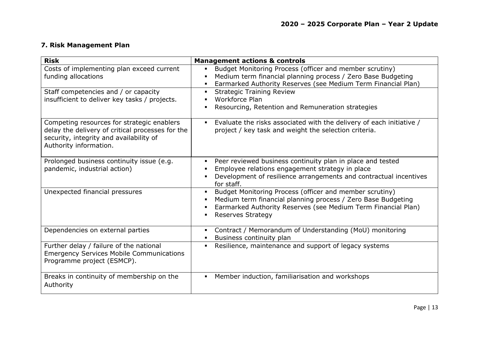## **7. Risk Management Plan**

| <b>Risk</b>                                                                                                                                                         | <b>Management actions &amp; controls</b>                                                                                                                                                                             |
|---------------------------------------------------------------------------------------------------------------------------------------------------------------------|----------------------------------------------------------------------------------------------------------------------------------------------------------------------------------------------------------------------|
| Costs of implementing plan exceed current<br>funding allocations                                                                                                    | Budget Monitoring Process (officer and member scrutiny)<br>Medium term financial planning process / Zero Base Budgeting<br>Earmarked Authority Reserves (see Medium Term Financial Plan)                             |
| Staff competencies and / or capacity<br>insufficient to deliver key tasks / projects.                                                                               | <b>Strategic Training Review</b><br>Workforce Plan<br>Resourcing, Retention and Remuneration strategies                                                                                                              |
| Competing resources for strategic enablers<br>delay the delivery of critical processes for the<br>security, integrity and availability of<br>Authority information. | Evaluate the risks associated with the delivery of each initiative /<br>project / key task and weight the selection criteria.                                                                                        |
| Prolonged business continuity issue (e.g.<br>pandemic, industrial action)                                                                                           | Peer reviewed business continuity plan in place and tested<br>Employee relations engagement strategy in place<br>Development of resilience arrangements and contractual incentives<br>for staff.                     |
| Unexpected financial pressures                                                                                                                                      | Budget Monitoring Process (officer and member scrutiny)<br>Medium term financial planning process / Zero Base Budgeting<br>Earmarked Authority Reserves (see Medium Term Financial Plan)<br><b>Reserves Strategy</b> |
| Dependencies on external parties                                                                                                                                    | Contract / Memorandum of Understanding (MoU) monitoring<br>Business continuity plan                                                                                                                                  |
| Further delay / failure of the national<br><b>Emergency Services Mobile Communications</b><br>Programme project (ESMCP).                                            | Resilience, maintenance and support of legacy systems                                                                                                                                                                |
| Breaks in continuity of membership on the<br>Authority                                                                                                              | Member induction, familiarisation and workshops<br>$\blacksquare$                                                                                                                                                    |